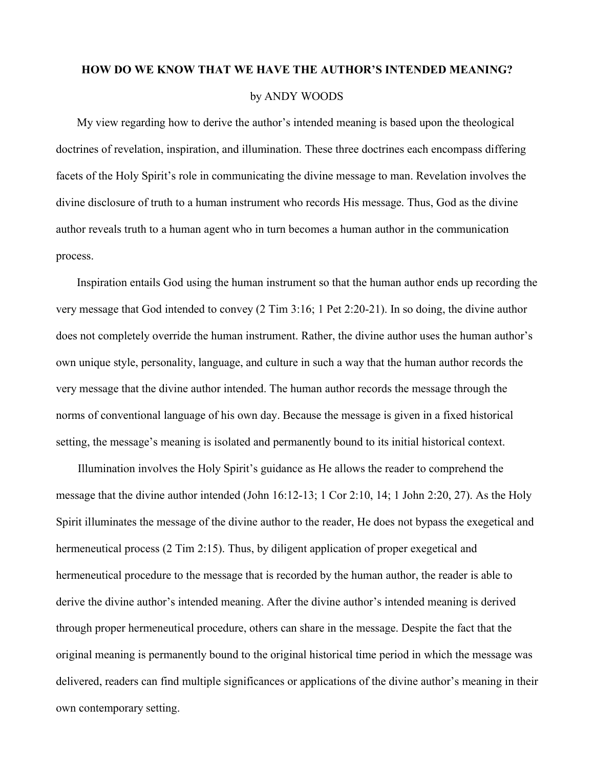## **HOW DO WE KNOW THAT WE HAVE THE AUTHOR'S INTENDED MEANING?** by ANDY WOODS

My view regarding how to derive the author's intended meaning is based upon the theological doctrines of revelation, inspiration, and illumination. These three doctrines each encompass differing facets of the Holy Spirit's role in communicating the divine message to man. Revelation involves the divine disclosure of truth to a human instrument who records His message. Thus, God as the divine author reveals truth to a human agent who in turn becomes a human author in the communication process.

Inspiration entails God using the human instrument so that the human author ends up recording the very message that God intended to convey (2 Tim 3:16; 1 Pet 2:20-21). In so doing, the divine author does not completely override the human instrument. Rather, the divine author uses the human author's own unique style, personality, language, and culture in such a way that the human author records the very message that the divine author intended. The human author records the message through the norms of conventional language of his own day. Because the message is given in a fixed historical setting, the message's meaning is isolated and permanently bound to its initial historical context.

Illumination involves the Holy Spirit's guidance as He allows the reader to comprehend the message that the divine author intended (John 16:12-13; 1 Cor 2:10, 14; 1 John 2:20, 27). As the Holy Spirit illuminates the message of the divine author to the reader, He does not bypass the exegetical and hermeneutical process (2 Tim 2:15). Thus, by diligent application of proper exegetical and hermeneutical procedure to the message that is recorded by the human author, the reader is able to derive the divine author's intended meaning. After the divine author's intended meaning is derived through proper hermeneutical procedure, others can share in the message. Despite the fact that the original meaning is permanently bound to the original historical time period in which the message was delivered, readers can find multiple significances or applications of the divine author's meaning in their own contemporary setting.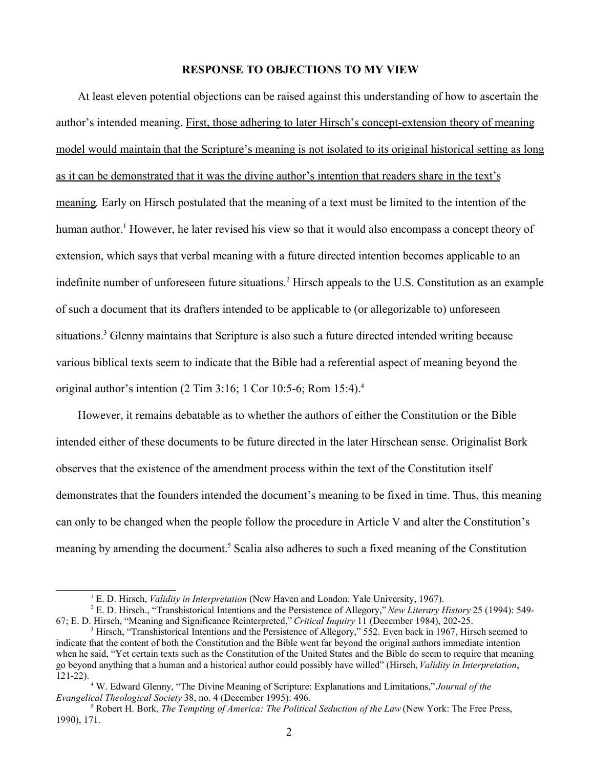## **RESPONSE TO OBJECTIONS TO MY VIEW**

At least eleven potential objections can be raised against this understanding of how to ascertain the author's intended meaning. First, those adhering to later Hirsch's concept-extension theory of meaning model would maintain that the Scripture's meaning is not isolated to its original historical setting as long as it can be demonstrated that it was the divine author's intention that readers share in the text's meaning*.* Early on Hirsch postulated that the meaning of a text must be limited to the intention of the human author.<sup>1</sup> However, he later revised his view so that it would also encompass a concept theory of extension, which says that verbal meaning with a future directed intention becomes applicable to an indefinite number of unforeseen future situations.<sup>2</sup> Hirsch appeals to the U.S. Constitution as an example of such a document that its drafters intended to be applicable to (or allegorizable to) unforeseen situations.<sup>3</sup> Glenny maintains that Scripture is also such a future directed intended writing because various biblical texts seem to indicate that the Bible had a referential aspect of meaning beyond the original author's intention  $(2 \text{ Tim } 3:16; 1 \text{ Cor } 10:5-6; \text{ Rom } 15:4)^4$ .

However, it remains debatable as to whether the authors of either the Constitution or the Bible intended either of these documents to be future directed in the later Hirschean sense. Originalist Bork observes that the existence of the amendment process within the text of the Constitution itself demonstrates that the founders intended the document's meaning to be fixed in time. Thus, this meaning can only to be changed when the people follow the procedure in Article V and alter the Constitution's meaning by amending the document.<sup>5</sup> Scalia also adheres to such a fixed meaning of the Constitution

<sup>&</sup>lt;sup>1</sup> E. D. Hirsch, *Validity in Interpretation* (New Haven and London: Yale University, 1967).

<sup>2</sup> E. D. Hirsch., "Transhistorical Intentions and the Persistence of Allegory," *New Literary History* 25 (1994): 549- 67; E. D. Hirsch, "Meaning and Significance Reinterpreted," *Critical Inquiry* 11 (December 1984), 202-25.

<sup>3</sup> Hirsch, "Transhistorical Intentions and the Persistence of Allegory," 552. Even back in 1967, Hirsch seemed to indicate that the content of both the Constitution and the Bible went far beyond the original authors immediate intention when he said, "Yet certain texts such as the Constitution of the United States and the Bible do seem to require that meaning go beyond anything that a human and a historical author could possibly have willed" (Hirsch, *Validity in Interpretation*,  $121-22$ ).

<sup>4</sup> W. Edward Glenny, "The Divine Meaning of Scripture: Explanations and Limitations," *Journal of the Evangelical Theological Society* 38, no. 4 (December 1995): 496.

<sup>5</sup> Robert H. Bork, *The Tempting of America: The Political Seduction of the Law* (New York: The Free Press, 1990), 171.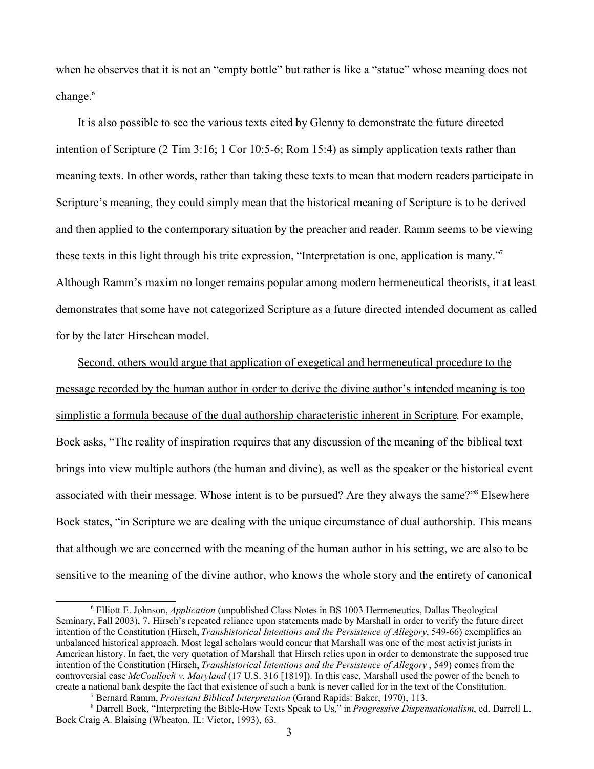when he observes that it is not an "empty bottle" but rather is like a "statue" whose meaning does not change.<sup>6</sup>

It is also possible to see the various texts cited by Glenny to demonstrate the future directed intention of Scripture (2 Tim 3:16; 1 Cor 10:5-6; Rom 15:4) as simply application texts rather than meaning texts. In other words, rather than taking these texts to mean that modern readers participate in Scripture's meaning, they could simply mean that the historical meaning of Scripture is to be derived and then applied to the contemporary situation by the preacher and reader. Ramm seems to be viewing these texts in this light through his trite expression, "Interpretation is one, application is many."<sup>7</sup> Although Ramm's maxim no longer remains popular among modern hermeneutical theorists, it at least demonstrates that some have not categorized Scripture as a future directed intended document as called for by the later Hirschean model.

Second, others would argue that application of exegetical and hermeneutical procedure to the message recorded by the human author in order to derive the divine author's intended meaning is too simplistic a formula because of the dual authorship characteristic inherent in Scripture. For example, Bock asks, "The reality of inspiration requires that any discussion of the meaning of the biblical text brings into view multiple authors (the human and divine), as well as the speaker or the historical event associated with their message. Whose intent is to be pursued? Are they always the same?"<sup>8</sup> Elsewhere Bock states, "in Scripture we are dealing with the unique circumstance of dual authorship. This means that although we are concerned with the meaning of the human author in his setting, we are also to be sensitive to the meaning of the divine author, who knows the whole story and the entirety of canonical

<sup>6</sup> Elliott E. Johnson, *Application* (unpublished Class Notes in BS 1003 Hermeneutics, Dallas Theological Seminary, Fall 2003), 7. Hirsch's repeated reliance upon statements made by Marshall in order to verify the future direct intention of the Constitution (Hirsch, *Transhistorical Intentions and the Persistence of Allegory*, 549-66) exemplifies an unbalanced historical approach. Most legal scholars would concur that Marshall was one of the most activist jurists in American history. In fact, the very quotation of Marshall that Hirsch relies upon in order to demonstrate the supposed true intention of the Constitution (Hirsch, *Transhistorical Intentions and the Persistence of Allegory* , 549) comes from the controversial case *McCoulloch v. Maryland* (17 U.S. 316 [1819]). In this case, Marshall used the power of the bench to create a national bank despite the fact that existence of such a bank is never called for in the text of the Constitution.

<sup>7</sup> Bernard Ramm, *Protestant Biblical Interpretation* (Grand Rapids: Baker, 1970), 113.

<sup>8</sup> Darrell Bock, "Interpreting the Bible-How Texts Speak to Us," in *Progressive Dispensationalism*, ed. Darrell L. Bock Craig A. Blaising (Wheaton, IL: Victor, 1993), 63.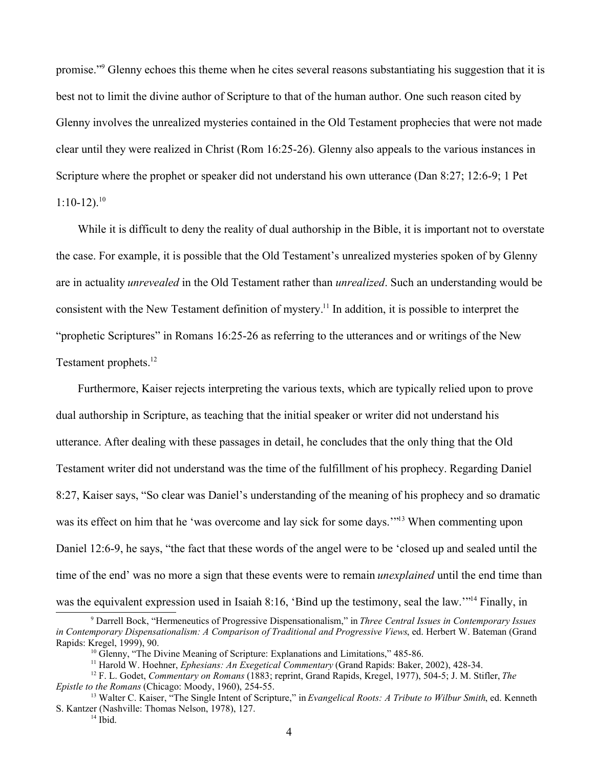promise."<sup>9</sup> Glenny echoes this theme when he cites several reasons substantiating his suggestion that it is best not to limit the divine author of Scripture to that of the human author. One such reason cited by Glenny involves the unrealized mysteries contained in the Old Testament prophecies that were not made clear until they were realized in Christ (Rom 16:25-26). Glenny also appeals to the various instances in Scripture where the prophet or speaker did not understand his own utterance (Dan 8:27; 12:6-9; 1 Pet  $1:10-12$ ).<sup>10</sup>

While it is difficult to deny the reality of dual authorship in the Bible, it is important not to overstate the case. For example, it is possible that the Old Testament's unrealized mysteries spoken of by Glenny are in actuality *unrevealed* in the Old Testament rather than *unrealized*. Such an understanding would be consistent with the New Testament definition of mystery.<sup>11</sup> In addition, it is possible to interpret the "prophetic Scriptures" in Romans 16:25-26 as referring to the utterances and or writings of the New Testament prophets.<sup>12</sup>

Furthermore, Kaiser rejects interpreting the various texts, which are typically relied upon to prove dual authorship in Scripture, as teaching that the initial speaker or writer did not understand his utterance. After dealing with these passages in detail, he concludes that the only thing that the Old Testament writer did not understand was the time of the fulfillment of his prophecy. Regarding Daniel 8:27, Kaiser says, "So clear was Daniel's understanding of the meaning of his prophecy and so dramatic was its effect on him that he 'was overcome and lay sick for some days.'<sup>"13</sup> When commenting upon Daniel 12:6-9, he says, "the fact that these words of the angel were to be 'closed up and sealed until the time of the end' was no more a sign that these events were to remain *unexplained* until the end time than was the equivalent expression used in Isaiah 8:16, 'Bind up the testimony, seal the law.'"<sup>14</sup> Finally, in

<sup>9</sup> Darrell Bock, "Hermeneutics of Progressive Dispensationalism," in *Three Central Issues in Contemporary Issues in Contemporary Dispensationalism: A Comparison of Traditional and Progressive Views*, ed. Herbert W. Bateman (Grand Rapids: Kregel, 1999), 90.

<sup>&</sup>lt;sup>10</sup> Glenny, "The Divine Meaning of Scripture: Explanations and Limitations," 485-86.

<sup>11</sup> Harold W. Hoehner, *Ephesians: An Exegetical Commentary* (Grand Rapids: Baker, 2002), 428-34.

<sup>12</sup> F. L. Godet, *Commentary on Romans* (1883; reprint, Grand Rapids, Kregel, 1977), 504-5; J. M. Stifler, *The Epistle to the Romans* (Chicago: Moody, 1960), 254-55.

<sup>13</sup> Walter C. Kaiser, "The Single Intent of Scripture," in *Evangelical Roots: A Tribute to Wilbur Smith*, ed. Kenneth S. Kantzer (Nashville: Thomas Nelson, 1978), 127.

 $14$  Ibid.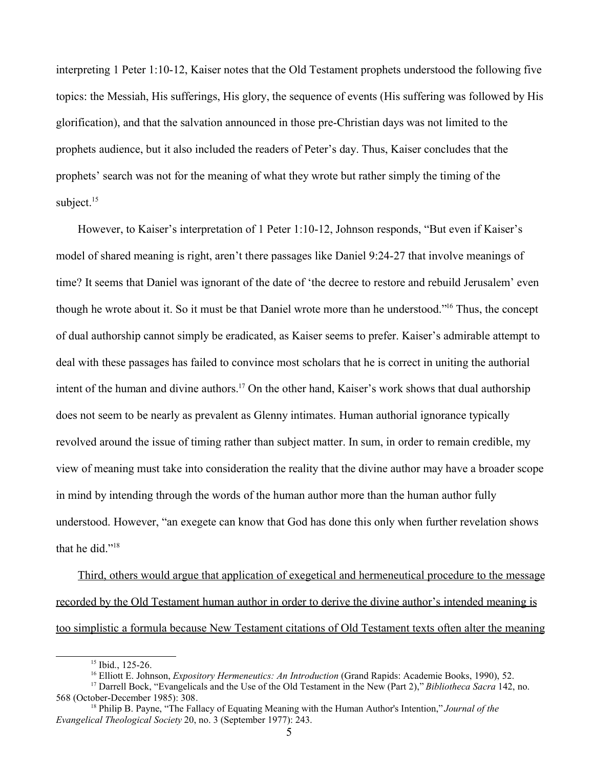interpreting 1 Peter 1:10-12, Kaiser notes that the Old Testament prophets understood the following five topics: the Messiah, His sufferings, His glory, the sequence of events (His suffering was followed by His glorification), and that the salvation announced in those pre-Christian days was not limited to the prophets audience, but it also included the readers of Peter's day. Thus, Kaiser concludes that the prophets' search was not for the meaning of what they wrote but rather simply the timing of the subject.<sup>15</sup>

However, to Kaiser's interpretation of 1 Peter 1:10-12, Johnson responds, "But even if Kaiser's model of shared meaning is right, aren't there passages like Daniel 9:24-27 that involve meanings of time? It seems that Daniel was ignorant of the date of 'the decree to restore and rebuild Jerusalem' even though he wrote about it. So it must be that Daniel wrote more than he understood."<sup>16</sup> Thus, the concept of dual authorship cannot simply be eradicated, as Kaiser seems to prefer. Kaiser's admirable attempt to deal with these passages has failed to convince most scholars that he is correct in uniting the authorial intent of the human and divine authors.<sup>17</sup> On the other hand, Kaiser's work shows that dual authorship does not seem to be nearly as prevalent as Glenny intimates. Human authorial ignorance typically revolved around the issue of timing rather than subject matter. In sum, in order to remain credible, my view of meaning must take into consideration the reality that the divine author may have a broader scope in mind by intending through the words of the human author more than the human author fully understood. However, "an exegete can know that God has done this only when further revelation shows that he did."<sup>18</sup>

Third, others would argue that application of exegetical and hermeneutical procedure to the message recorded by the Old Testament human author in order to derive the divine author's intended meaning is too simplistic a formula because New Testament citations of Old Testament texts often alter the meaning

<sup>&</sup>lt;sup>15</sup> Ibid., 125-26.

<sup>16</sup> Elliott E. Johnson, *Expository Hermeneutics: An Introduction* (Grand Rapids: Academie Books, 1990), 52.

<sup>17</sup> Darrell Bock, "Evangelicals and the Use of the Old Testament in the New (Part 2)," *Bibliotheca Sacra* 142, no. 568 (October-December 1985): 308.

<sup>18</sup> Philip B. Payne, "The Fallacy of Equating Meaning with the Human Author's Intention," *Journal of the Evangelical Theological Society* 20, no. 3 (September 1977): 243.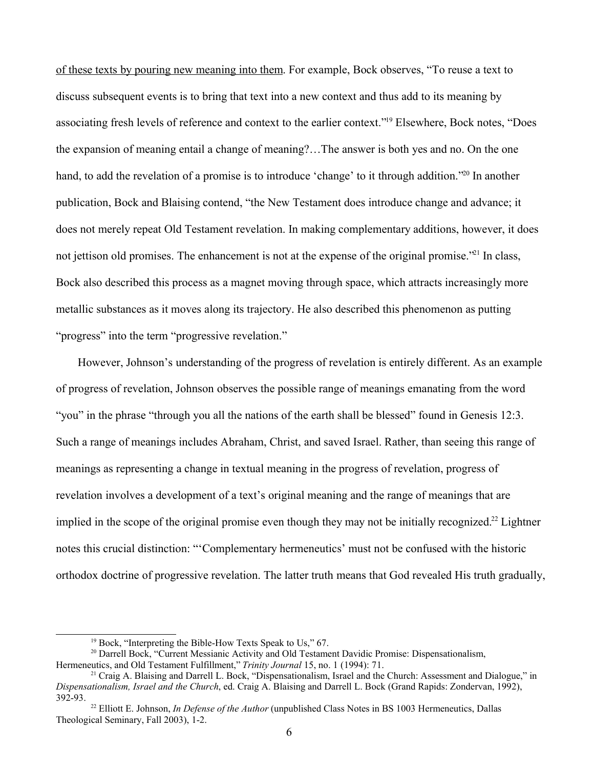of these texts by pouring new meaning into them. For example, Bock observes, "To reuse a text to discuss subsequent events is to bring that text into a new context and thus add to its meaning by associating fresh levels of reference and context to the earlier context."<sup>19</sup> Elsewhere, Bock notes, "Does the expansion of meaning entail a change of meaning?…The answer is both yes and no. On the one hand, to add the revelation of a promise is to introduce 'change' to it through addition."<sup>20</sup> In another publication, Bock and Blaising contend, "the New Testament does introduce change and advance; it does not merely repeat Old Testament revelation. In making complementary additions, however, it does not jettison old promises. The enhancement is not at the expense of the original promise.<sup>"21</sup> In class, Bock also described this process as a magnet moving through space, which attracts increasingly more metallic substances as it moves along its trajectory. He also described this phenomenon as putting "progress" into the term "progressive revelation."

However, Johnson's understanding of the progress of revelation is entirely different. As an example of progress of revelation, Johnson observes the possible range of meanings emanating from the word "you" in the phrase "through you all the nations of the earth shall be blessed" found in Genesis 12:3. Such a range of meanings includes Abraham, Christ, and saved Israel. Rather, than seeing this range of meanings as representing a change in textual meaning in the progress of revelation, progress of revelation involves a development of a text's original meaning and the range of meanings that are implied in the scope of the original promise even though they may not be initially recognized.<sup>22</sup> Lightner notes this crucial distinction: "'Complementary hermeneutics' must not be confused with the historic orthodox doctrine of progressive revelation. The latter truth means that God revealed His truth gradually,

 $19$  Bock, "Interpreting the Bible-How Texts Speak to Us," 67.

<sup>&</sup>lt;sup>20</sup> Darrell Bock, "Current Messianic Activity and Old Testament Davidic Promise: Dispensationalism, Hermeneutics, and Old Testament Fulfillment," *Trinity Journal* 15, no. 1 (1994): 71.

<sup>&</sup>lt;sup>21</sup> Craig A. Blaising and Darrell L. Bock, "Dispensationalism, Israel and the Church: Assessment and Dialogue," in *Dispensationalism, Israel and the Church*, ed. Craig A. Blaising and Darrell L. Bock (Grand Rapids: Zondervan, 1992), 392-93.

<sup>&</sup>lt;sup>22</sup> Elliott E. Johnson, *In Defense of the Author* (unpublished Class Notes in BS 1003 Hermeneutics, Dallas Theological Seminary, Fall 2003), 1-2.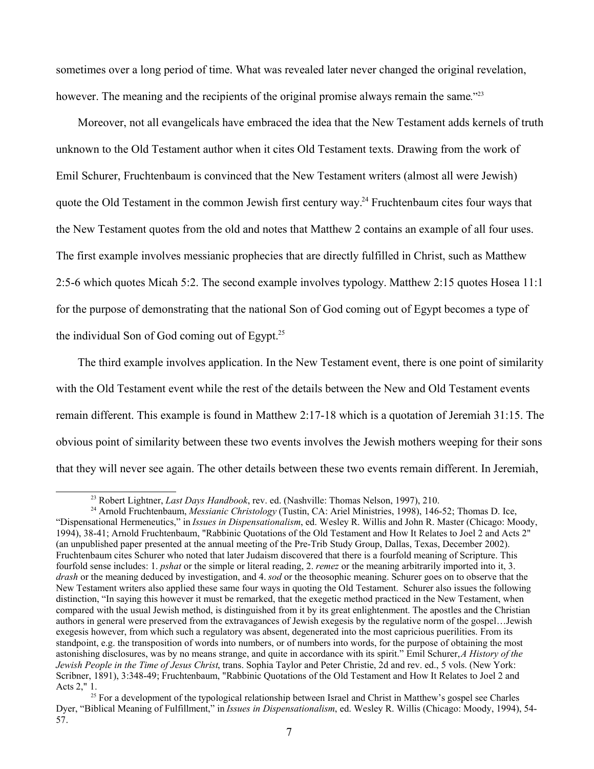sometimes over a long period of time. What was revealed later never changed the original revelation, however. The meaning and the recipients of the original promise always remain the same."<sup>23</sup>

Moreover, not all evangelicals have embraced the idea that the New Testament adds kernels of truth unknown to the Old Testament author when it cites Old Testament texts. Drawing from the work of Emil Schurer, Fruchtenbaum is convinced that the New Testament writers (almost all were Jewish) quote the Old Testament in the common Jewish first century way.<sup>24</sup> Fruchtenbaum cites four ways that the New Testament quotes from the old and notes that Matthew 2 contains an example of all four uses. The first example involves messianic prophecies that are directly fulfilled in Christ, such as Matthew 2:5-6 which quotes Micah 5:2. The second example involves typology. Matthew 2:15 quotes Hosea 11:1 for the purpose of demonstrating that the national Son of God coming out of Egypt becomes a type of the individual Son of God coming out of Egypt.<sup>25</sup>

The third example involves application. In the New Testament event, there is one point of similarity with the Old Testament event while the rest of the details between the New and Old Testament events remain different. This example is found in Matthew 2:17-18 which is a quotation of Jeremiah 31:15. The obvious point of similarity between these two events involves the Jewish mothers weeping for their sons that they will never see again. The other details between these two events remain different. In Jeremiah,

<sup>23</sup> Robert Lightner, *Last Days Handbook*, rev. ed. (Nashville: Thomas Nelson, 1997), 210.

<sup>24</sup> Arnold Fruchtenbaum, *Messianic Christology* (Tustin, CA: Ariel Ministries, 1998), 146-52; Thomas D. Ice, "Dispensational Hermeneutics," in *Issues in Dispensationalism*, ed. Wesley R. Willis and John R. Master (Chicago: Moody, 1994), 38-41; Arnold Fruchtenbaum, "Rabbinic Quotations of the Old Testament and How It Relates to Joel 2 and Acts 2" (an unpublished paper presented at the annual meeting of the Pre-Trib Study Group, Dallas, Texas, December 2002). Fruchtenbaum cites Schurer who noted that later Judaism discovered that there is a fourfold meaning of Scripture. This fourfold sense includes: 1. *pshat* or the simple or literal reading, 2. *remez* or the meaning arbitrarily imported into it, 3. *drash* or the meaning deduced by investigation, and 4. *sod* or the theosophic meaning. Schurer goes on to observe that the New Testament writers also applied these same four ways in quoting the Old Testament. Schurer also issues the following distinction, "In saying this however it must be remarked, that the exegetic method practiced in the New Testament, when compared with the usual Jewish method, is distinguished from it by its great enlightenment. The apostles and the Christian authors in general were preserved from the extravagances of Jewish exegesis by the regulative norm of the gospel…Jewish exegesis however, from which such a regulatory was absent, degenerated into the most capricious puerilities. From its standpoint, e.g. the transposition of words into numbers, or of numbers into words, for the purpose of obtaining the most astonishing disclosures, was by no means strange, and quite in accordance with its spirit." Emil Schurer, *A History of the Jewish People in the Time of Jesus Christ*, trans. Sophia Taylor and Peter Christie, 2d and rev. ed., 5 vols. (New York: Scribner, 1891), 3:348-49; Fruchtenbaum, "Rabbinic Quotations of the Old Testament and How It Relates to Joel 2 and Acts 2," 1.

<sup>&</sup>lt;sup>25</sup> For a development of the typological relationship between Israel and Christ in Matthew's gospel see Charles Dyer, "Biblical Meaning of Fulfillment," in *Issues in Dispensationalism*, ed. Wesley R. Willis (Chicago: Moody, 1994), 54- 57.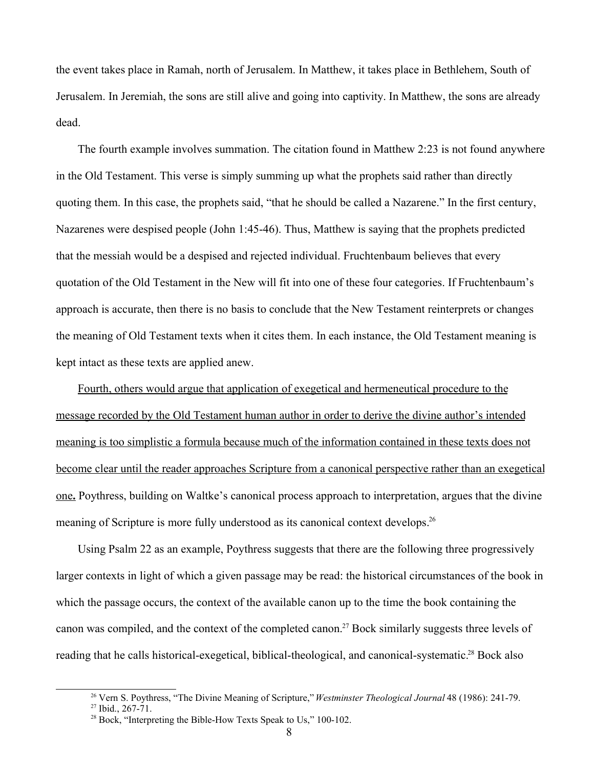the event takes place in Ramah, north of Jerusalem. In Matthew, it takes place in Bethlehem, South of Jerusalem. In Jeremiah, the sons are still alive and going into captivity. In Matthew, the sons are already dead.

The fourth example involves summation. The citation found in Matthew 2:23 is not found anywhere in the Old Testament. This verse is simply summing up what the prophets said rather than directly quoting them. In this case, the prophets said, "that he should be called a Nazarene." In the first century, Nazarenes were despised people (John 1:45-46). Thus, Matthew is saying that the prophets predicted that the messiah would be a despised and rejected individual. Fruchtenbaum believes that every quotation of the Old Testament in the New will fit into one of these four categories. If Fruchtenbaum's approach is accurate, then there is no basis to conclude that the New Testament reinterprets or changes the meaning of Old Testament texts when it cites them. In each instance, the Old Testament meaning is kept intact as these texts are applied anew.

Fourth, others would argue that application of exegetical and hermeneutical procedure to the message recorded by the Old Testament human author in order to derive the divine author's intended meaning is too simplistic a formula because much of the information contained in these texts does not become clear until the reader approaches Scripture from a canonical perspective rather than an exegetical one. Poythress, building on Waltke's canonical process approach to interpretation, argues that the divine meaning of Scripture is more fully understood as its canonical context develops.<sup>26</sup>

Using Psalm 22 as an example, Poythress suggests that there are the following three progressively larger contexts in light of which a given passage may be read: the historical circumstances of the book in which the passage occurs, the context of the available canon up to the time the book containing the canon was compiled, and the context of the completed canon.<sup>27</sup> Bock similarly suggests three levels of reading that he calls historical-exegetical, biblical-theological, and canonical-systematic.<sup>28</sup> Bock also

<sup>26</sup> Vern S. Poythress, "The Divine Meaning of Scripture," *Westminster Theological Journal* 48 (1986): 241-79. <sup>27</sup> Ibid., 267-71.

<sup>28</sup> Bock, "Interpreting the Bible-How Texts Speak to Us," 100-102.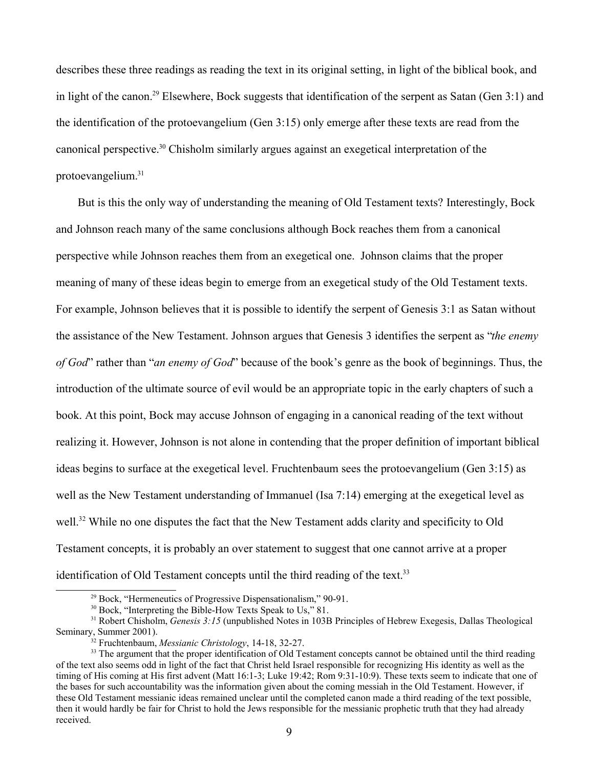describes these three readings as reading the text in its original setting, in light of the biblical book, and in light of the canon.<sup>29</sup> Elsewhere, Bock suggests that identification of the serpent as Satan (Gen 3:1) and the identification of the protoevangelium (Gen 3:15) only emerge after these texts are read from the canonical perspective.<sup>30</sup> Chisholm similarly argues against an exegetical interpretation of the protoevangelium.<sup>31</sup>

But is this the only way of understanding the meaning of Old Testament texts? Interestingly, Bock and Johnson reach many of the same conclusions although Bock reaches them from a canonical perspective while Johnson reaches them from an exegetical one. Johnson claims that the proper meaning of many of these ideas begin to emerge from an exegetical study of the Old Testament texts. For example, Johnson believes that it is possible to identify the serpent of Genesis 3:1 as Satan without the assistance of the New Testament. Johnson argues that Genesis 3 identifies the serpent as "*the enemy of God*" rather than "*an enemy of God*" because of the book's genre as the book of beginnings. Thus, the introduction of the ultimate source of evil would be an appropriate topic in the early chapters of such a book. At this point, Bock may accuse Johnson of engaging in a canonical reading of the text without realizing it. However, Johnson is not alone in contending that the proper definition of important biblical ideas begins to surface at the exegetical level. Fruchtenbaum sees the protoevangelium (Gen 3:15) as well as the New Testament understanding of Immanuel (Isa 7:14) emerging at the exegetical level as well.<sup>32</sup> While no one disputes the fact that the New Testament adds clarity and specificity to Old Testament concepts, it is probably an over statement to suggest that one cannot arrive at a proper identification of Old Testament concepts until the third reading of the text.<sup>33</sup>

<sup>29</sup> Bock, "Hermeneutics of Progressive Dispensationalism," 90-91.

 $30$  Bock, "Interpreting the Bible-How Texts Speak to Us," 81.

<sup>&</sup>lt;sup>31</sup> Robert Chisholm, *Genesis 3:15* (unpublished Notes in 103B Principles of Hebrew Exegesis, Dallas Theological Seminary, Summer 2001).

<sup>32</sup> Fruchtenbaum, *Messianic Christology*, 14-18, 32-27.

<sup>&</sup>lt;sup>33</sup> The argument that the proper identification of Old Testament concepts cannot be obtained until the third reading of the text also seems odd in light of the fact that Christ held Israel responsible for recognizing His identity as well as the timing of His coming at His first advent (Matt 16:1-3; Luke 19:42; Rom 9:31-10:9). These texts seem to indicate that one of the bases for such accountability was the information given about the coming messiah in the Old Testament. However, if these Old Testament messianic ideas remained unclear until the completed canon made a third reading of the text possible, then it would hardly be fair for Christ to hold the Jews responsible for the messianic prophetic truth that they had already received.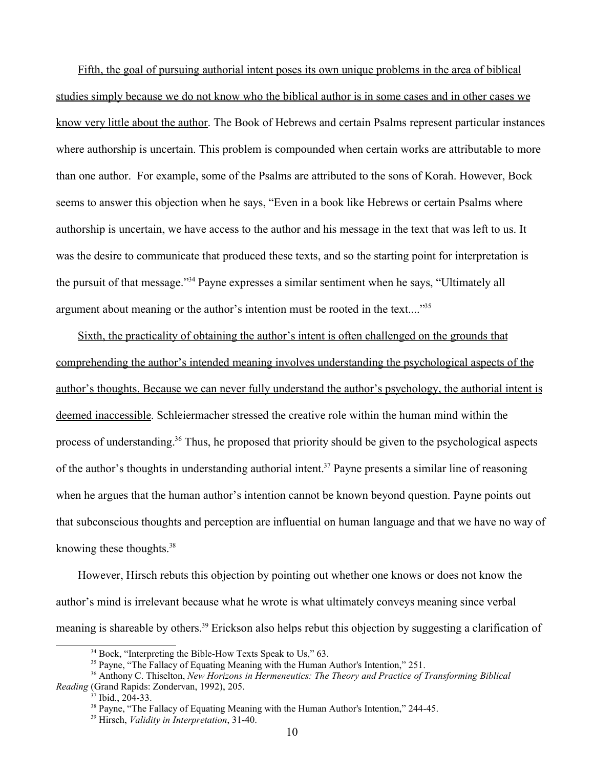Fifth, the goal of pursuing authorial intent poses its own unique problems in the area of biblical studies simply because we do not know who the biblical author is in some cases and in other cases we know very little about the author. The Book of Hebrews and certain Psalms represent particular instances where authorship is uncertain. This problem is compounded when certain works are attributable to more than one author. For example, some of the Psalms are attributed to the sons of Korah. However, Bock seems to answer this objection when he says, "Even in a book like Hebrews or certain Psalms where authorship is uncertain, we have access to the author and his message in the text that was left to us. It was the desire to communicate that produced these texts, and so the starting point for interpretation is the pursuit of that message."<sup>34</sup> Payne expresses a similar sentiment when he says, "Ultimately all argument about meaning or the author's intention must be rooted in the text...."<sup>35</sup>

Sixth, the practicality of obtaining the author's intent is often challenged on the grounds that comprehending the author's intended meaning involves understanding the psychological aspects of the author's thoughts. Because we can never fully understand the author's psychology, the authorial intent is deemed inaccessible. Schleiermacher stressed the creative role within the human mind within the process of understanding.<sup>36</sup> Thus, he proposed that priority should be given to the psychological aspects of the author's thoughts in understanding authorial intent.<sup>37</sup> Payne presents a similar line of reasoning when he argues that the human author's intention cannot be known beyond question. Payne points out that subconscious thoughts and perception are influential on human language and that we have no way of knowing these thoughts.<sup>38</sup>

However, Hirsch rebuts this objection by pointing out whether one knows or does not know the author's mind is irrelevant because what he wrote is what ultimately conveys meaning since verbal meaning is shareable by others.<sup>39</sup> Erickson also helps rebut this objection by suggesting a clarification of

 $34$  Bock, "Interpreting the Bible-How Texts Speak to Us," 63.

<sup>&</sup>lt;sup>35</sup> Payne, "The Fallacy of Equating Meaning with the Human Author's Intention," 251.

<sup>36</sup> Anthony C. Thiselton, *New Horizons in Hermeneutics: The Theory and Practice of Transforming Biblical Reading* (Grand Rapids: Zondervan, 1992), 205.

 $7$  Ibid., 204-33.

<sup>&</sup>lt;sup>38</sup> Payne, "The Fallacy of Equating Meaning with the Human Author's Intention," 244-45.

<sup>39</sup> Hirsch, *Validity in Interpretation*, 31-40.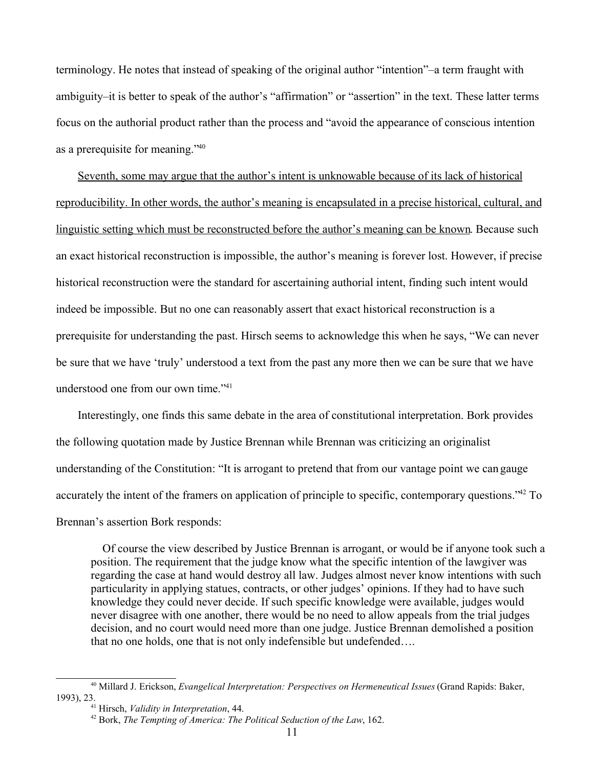terminology. He notes that instead of speaking of the original author "intention"–a term fraught with ambiguity–it is better to speak of the author's "affirmation" or "assertion" in the text. These latter terms focus on the authorial product rather than the process and "avoid the appearance of conscious intention as a prerequisite for meaning."<sup>40</sup>

Seventh, some may argue that the author's intent is unknowable because of its lack of historical reproducibility. In other words, the author's meaning is encapsulated in a precise historical, cultural, and linguistic setting which must be reconstructed before the author's meaning can be known. Because such an exact historical reconstruction is impossible, the author's meaning is forever lost. However, if precise historical reconstruction were the standard for ascertaining authorial intent, finding such intent would indeed be impossible. But no one can reasonably assert that exact historical reconstruction is a prerequisite for understanding the past. Hirsch seems to acknowledge this when he says, "We can never be sure that we have 'truly' understood a text from the past any more then we can be sure that we have understood one from our own time."<sup>41</sup>

Interestingly, one finds this same debate in the area of constitutional interpretation. Bork provides the following quotation made by Justice Brennan while Brennan was criticizing an originalist understanding of the Constitution: "It is arrogant to pretend that from our vantage point we can gauge accurately the intent of the framers on application of principle to specific, contemporary questions."<sup>42</sup> To Brennan's assertion Bork responds:

 Of course the view described by Justice Brennan is arrogant, or would be if anyone took such a position. The requirement that the judge know what the specific intention of the lawgiver was regarding the case at hand would destroy all law. Judges almost never know intentions with such particularity in applying statues, contracts, or other judges' opinions. If they had to have such knowledge they could never decide. If such specific knowledge were available, judges would never disagree with one another, there would be no need to allow appeals from the trial judges decision, and no court would need more than one judge. Justice Brennan demolished a position that no one holds, one that is not only indefensible but undefended….

<sup>40</sup> Millard J. Erickson, *Evangelical Interpretation: Perspectives on Hermeneutical Issues* (Grand Rapids: Baker, 1993), 23.

<sup>41</sup> Hirsch, *Validity in Interpretation*, 44.

<sup>42</sup> Bork, *The Tempting of America: The Political Seduction of the Law*, 162.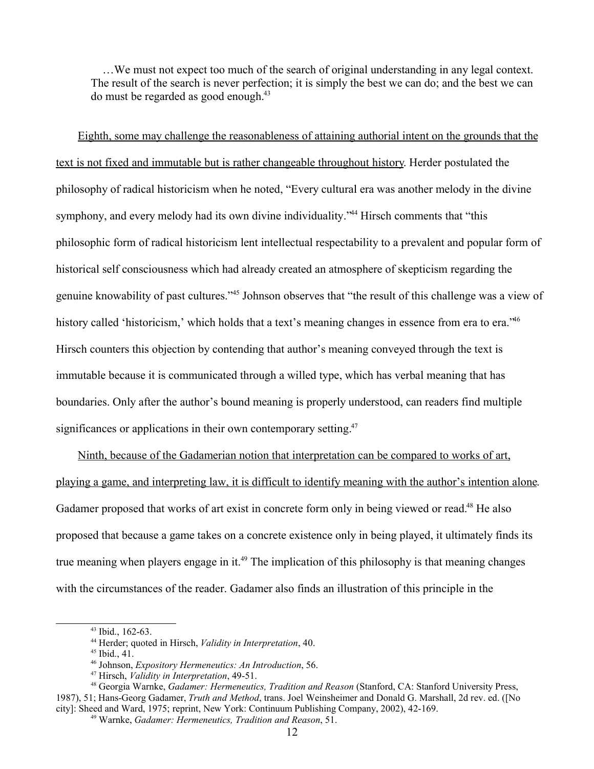…We must not expect too much of the search of original understanding in any legal context. The result of the search is never perfection; it is simply the best we can do; and the best we can do must be regarded as good enough.<sup>43</sup>

Eighth, some may challenge the reasonableness of attaining authorial intent on the grounds that the text is not fixed and immutable but is rather changeable throughout history. Herder postulated the philosophy of radical historicism when he noted, "Every cultural era was another melody in the divine symphony, and every melody had its own divine individuality.<sup>244</sup> Hirsch comments that "this philosophic form of radical historicism lent intellectual respectability to a prevalent and popular form of historical self consciousness which had already created an atmosphere of skepticism regarding the genuine knowability of past cultures."<sup>45</sup> Johnson observes that "the result of this challenge was a view of history called 'historicism,' which holds that a text's meaning changes in essence from era to era."<sup>46</sup> Hirsch counters this objection by contending that author's meaning conveyed through the text is immutable because it is communicated through a willed type, which has verbal meaning that has boundaries. Only after the author's bound meaning is properly understood, can readers find multiple significances or applications in their own contemporary setting.<sup>47</sup>

Ninth, because of the Gadamerian notion that interpretation can be compared to works of art, playing a game, and interpreting law, it is difficult to identify meaning with the author's intention alone. Gadamer proposed that works of art exist in concrete form only in being viewed or read.<sup>48</sup> He also proposed that because a game takes on a concrete existence only in being played, it ultimately finds its true meaning when players engage in it.<sup>49</sup> The implication of this philosophy is that meaning changes with the circumstances of the reader. Gadamer also finds an illustration of this principle in the

<sup>43</sup> Ibid., 162-63.

<sup>44</sup> Herder; quoted in Hirsch, *Validity in Interpretation*, 40.

 $45$  Ibid., 41.

<sup>46</sup> Johnson, *Expository Hermeneutics: An Introduction*, 56.

<sup>47</sup> Hirsch, *Validity in Interpretation*, 49-51.

<sup>48</sup> Georgia Warnke, *Gadamer: Hermeneutics, Tradition and Reason* (Stanford, CA: Stanford University Press, 1987), 51; Hans-Georg Gadamer, *Truth and Method*, trans. Joel Weinsheimer and Donald G. Marshall, 2d rev. ed. ([No city]: Sheed and Ward, 1975; reprint, New York: Continuum Publishing Company, 2002), 42-169.

<sup>49</sup> Warnke, *Gadamer: Hermeneutics, Tradition and Reason*, 51.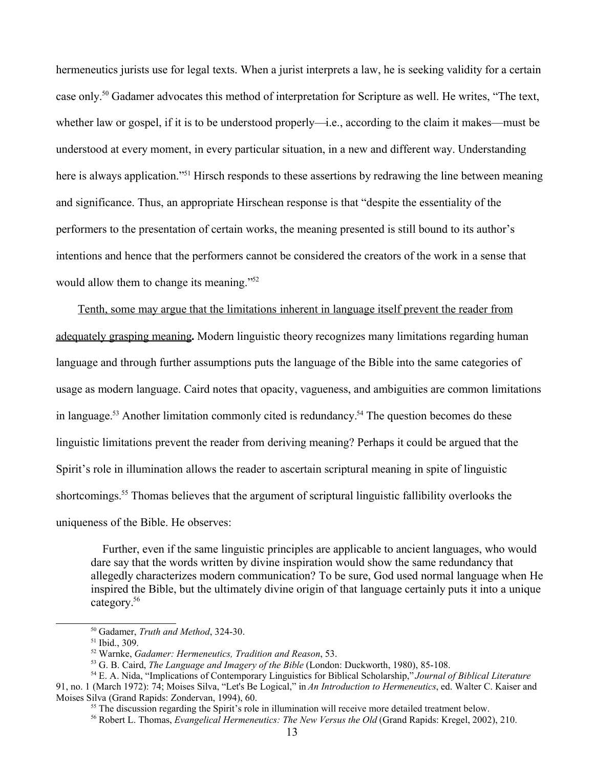hermeneutics jurists use for legal texts. When a jurist interprets a law, he is seeking validity for a certain case only.<sup>50</sup> Gadamer advocates this method of interpretation for Scripture as well. He writes, "The text, whether law or gospel, if it is to be understood properly—i.e., according to the claim it makes—must be understood at every moment, in every particular situation, in a new and different way. Understanding here is always application.<sup>"51</sup> Hirsch responds to these assertions by redrawing the line between meaning and significance. Thus, an appropriate Hirschean response is that "despite the essentiality of the performers to the presentation of certain works, the meaning presented is still bound to its author's intentions and hence that the performers cannot be considered the creators of the work in a sense that would allow them to change its meaning."<sup>52</sup>

Tenth, some may argue that the limitations inherent in language itself prevent the reader from adequately grasping meaning**.** Modern linguistic theory recognizes many limitations regarding human language and through further assumptions puts the language of the Bible into the same categories of usage as modern language. Caird notes that opacity, vagueness, and ambiguities are common limitations in language.<sup>53</sup> Another limitation commonly cited is redundancy.<sup>54</sup> The question becomes do these linguistic limitations prevent the reader from deriving meaning? Perhaps it could be argued that the Spirit's role in illumination allows the reader to ascertain scriptural meaning in spite of linguistic shortcomings.<sup>55</sup> Thomas believes that the argument of scriptural linguistic fallibility overlooks the uniqueness of the Bible. He observes:

 Further, even if the same linguistic principles are applicable to ancient languages, who would dare say that the words written by divine inspiration would show the same redundancy that allegedly characterizes modern communication? To be sure, God used normal language when He inspired the Bible, but the ultimately divine origin of that language certainly puts it into a unique category.<sup>56</sup>

<sup>50</sup> Gadamer, *Truth and Method*, 324-30.

<sup>51</sup> Ibid., 309.

<sup>52</sup> Warnke, *Gadamer: Hermeneutics, Tradition and Reason*, 53.

<sup>53</sup> G. B. Caird, *The Language and Imagery of the Bible* (London: Duckworth, 1980), 85-108.

<sup>54</sup> E. A. Nida, "Implications of Contemporary Linguistics for Biblical Scholarship," *Journal of Biblical Literature* 91, no. 1 (March 1972): 74; Moises Silva, "Let's Be Logical," in *An Introduction to Hermeneutics*, ed. Walter C. Kaiser and Moises Silva (Grand Rapids: Zondervan, 1994), 60.

<sup>&</sup>lt;sup>55</sup> The discussion regarding the Spirit's role in illumination will receive more detailed treatment below.

<sup>56</sup> Robert L. Thomas, *Evangelical Hermeneutics: The New Versus the Old* (Grand Rapids: Kregel, 2002), 210.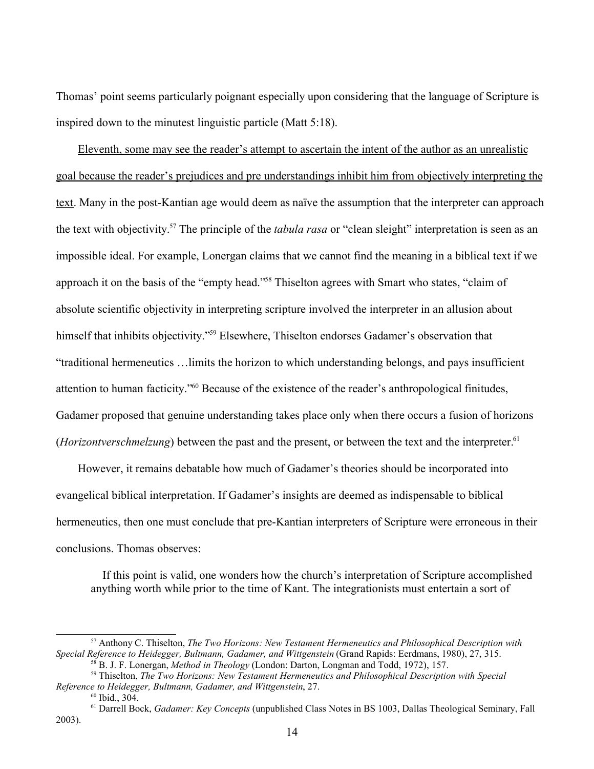Thomas' point seems particularly poignant especially upon considering that the language of Scripture is inspired down to the minutest linguistic particle (Matt 5:18).

Eleventh, some may see the reader's attempt to ascertain the intent of the author as an unrealistic goal because the reader's prejudices and pre understandings inhibit him from objectively interpreting the text. Many in the post-Kantian age would deem as naïve the assumption that the interpreter can approach the text with objectivity.<sup>57</sup> The principle of the *tabula rasa* or "clean sleight" interpretation is seen as an impossible ideal. For example, Lonergan claims that we cannot find the meaning in a biblical text if we approach it on the basis of the "empty head."<sup>58</sup> Thiselton agrees with Smart who states, "claim of absolute scientific objectivity in interpreting scripture involved the interpreter in an allusion about himself that inhibits objectivity."<sup>59</sup> Elsewhere, Thiselton endorses Gadamer's observation that "traditional hermeneutics …limits the horizon to which understanding belongs, and pays insufficient attention to human facticity."<sup>60</sup> Because of the existence of the reader's anthropological finitudes, Gadamer proposed that genuine understanding takes place only when there occurs a fusion of horizons (*Horizontverschmelzung*) between the past and the present, or between the text and the interpreter.<sup>61</sup>

However, it remains debatable how much of Gadamer's theories should be incorporated into evangelical biblical interpretation. If Gadamer's insights are deemed as indispensable to biblical hermeneutics, then one must conclude that pre-Kantian interpreters of Scripture were erroneous in their conclusions. Thomas observes:

 If this point is valid, one wonders how the church's interpretation of Scripture accomplished anything worth while prior to the time of Kant. The integrationists must entertain a sort of

<sup>57</sup> Anthony C. Thiselton, *The Two Horizons: New Testament Hermeneutics and Philosophical Description with Special Reference to Heidegger, Bultmann, Gadamer, and Wittgenstein* (Grand Rapids: Eerdmans, 1980), 27, 315. <sup>58</sup> B. J. F. Lonergan, *Method in Theology* (London: Darton, Longman and Todd, 1972), 157.

<sup>59</sup> Thiselton, *The Two Horizons: New Testament Hermeneutics and Philosophical Description with Special Reference to Heidegger, Bultmann, Gadamer, and Wittgenstein*, 27.

 $60$  Ibid.,  $304$ .

<sup>61</sup> Darrell Bock, *Gadamer: Key Concepts* (unpublished Class Notes in BS 1003, Dallas Theological Seminary, Fall 2003).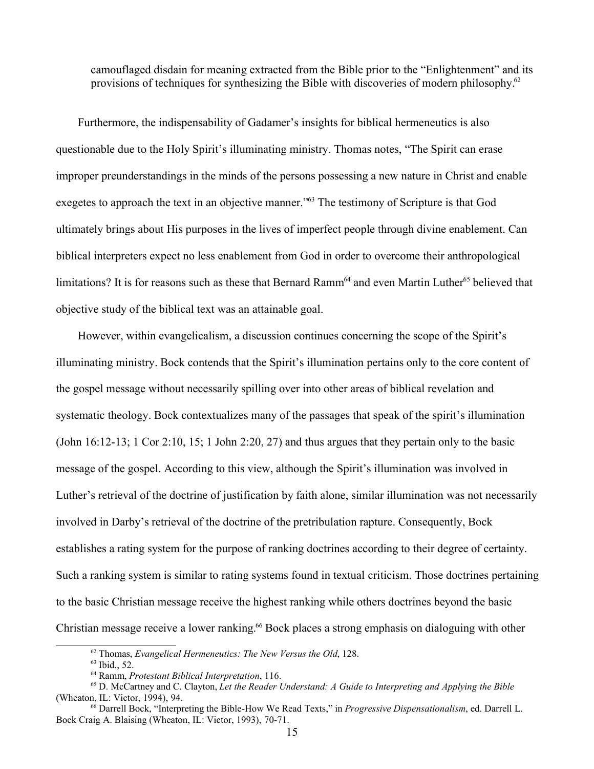camouflaged disdain for meaning extracted from the Bible prior to the "Enlightenment" and its provisions of techniques for synthesizing the Bible with discoveries of modern philosophy.<sup>62</sup>

Furthermore, the indispensability of Gadamer's insights for biblical hermeneutics is also questionable due to the Holy Spirit's illuminating ministry. Thomas notes, "The Spirit can erase improper preunderstandings in the minds of the persons possessing a new nature in Christ and enable exegetes to approach the text in an objective manner.<sup>763</sup> The testimony of Scripture is that God ultimately brings about His purposes in the lives of imperfect people through divine enablement. Can biblical interpreters expect no less enablement from God in order to overcome their anthropological limitations? It is for reasons such as these that Bernard Ramm<sup>64</sup> and even Martin Luther<sup>65</sup> believed that objective study of the biblical text was an attainable goal.

However, within evangelicalism, a discussion continues concerning the scope of the Spirit's illuminating ministry. Bock contends that the Spirit's illumination pertains only to the core content of the gospel message without necessarily spilling over into other areas of biblical revelation and systematic theology. Bock contextualizes many of the passages that speak of the spirit's illumination (John 16:12-13; 1 Cor 2:10, 15; 1 John 2:20, 27) and thus argues that they pertain only to the basic message of the gospel. According to this view, although the Spirit's illumination was involved in Luther's retrieval of the doctrine of justification by faith alone, similar illumination was not necessarily involved in Darby's retrieval of the doctrine of the pretribulation rapture. Consequently, Bock establishes a rating system for the purpose of ranking doctrines according to their degree of certainty. Such a ranking system is similar to rating systems found in textual criticism. Those doctrines pertaining to the basic Christian message receive the highest ranking while others doctrines beyond the basic Christian message receive a lower ranking.<sup>66</sup> Bock places a strong emphasis on dialoguing with other

<sup>62</sup> Thomas, *Evangelical Hermeneutics: The New Versus the Old*, 128.

<sup>63</sup> Ibid., 52.

<sup>64</sup> Ramm, *Protestant Biblical Interpretation*, 116.

<sup>65</sup> D. McCartney and C. Clayton, *Let the Reader Understand: A Guide to Interpreting and Applying the Bible* (Wheaton, IL: Victor, 1994), 94.

<sup>66</sup> Darrell Bock, "Interpreting the Bible-How We Read Texts," in *Progressive Dispensationalism*, ed. Darrell L. Bock Craig A. Blaising (Wheaton, IL: Victor, 1993), 70-71.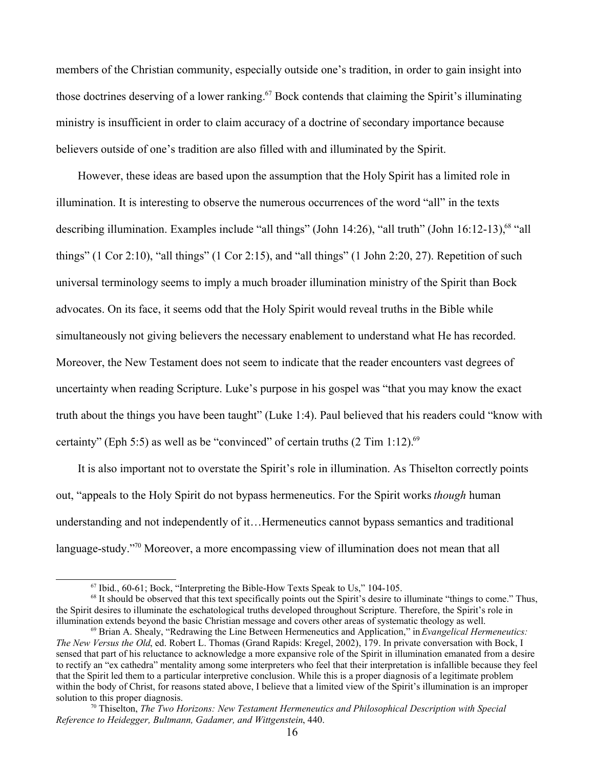members of the Christian community, especially outside one's tradition, in order to gain insight into those doctrines deserving of a lower ranking.<sup>67</sup> Bock contends that claiming the Spirit's illuminating ministry is insufficient in order to claim accuracy of a doctrine of secondary importance because believers outside of one's tradition are also filled with and illuminated by the Spirit.

However, these ideas are based upon the assumption that the Holy Spirit has a limited role in illumination. It is interesting to observe the numerous occurrences of the word "all" in the texts describing illumination. Examples include "all things" (John 14:26), "all truth" (John 16:12-13), <sup>68</sup> "all things" (1 Cor 2:10), "all things" (1 Cor 2:15), and "all things" (1 John 2:20, 27). Repetition of such universal terminology seems to imply a much broader illumination ministry of the Spirit than Bock advocates. On its face, it seems odd that the Holy Spirit would reveal truths in the Bible while simultaneously not giving believers the necessary enablement to understand what He has recorded. Moreover, the New Testament does not seem to indicate that the reader encounters vast degrees of uncertainty when reading Scripture. Luke's purpose in his gospel was "that you may know the exact truth about the things you have been taught" (Luke 1:4). Paul believed that his readers could "know with certainty" (Eph 5:5) as well as be "convinced" of certain truths  $(2 \text{ Tim } 1:12)$ .<sup>69</sup>

It is also important not to overstate the Spirit's role in illumination. As Thiselton correctly points out, "appeals to the Holy Spirit do not bypass hermeneutics. For the Spirit works *though* human understanding and not independently of it…Hermeneutics cannot bypass semantics and traditional language-study.<sup>"70</sup> Moreover, a more encompassing view of illumination does not mean that all

<sup>67</sup> Ibid., 60-61; Bock, "Interpreting the Bible-How Texts Speak to Us," 104-105.

<sup>&</sup>lt;sup>68</sup> It should be observed that this text specifically points out the Spirit's desire to illuminate "things to come." Thus, the Spirit desires to illuminate the eschatological truths developed throughout Scripture. Therefore, the Spirit's role in illumination extends beyond the basic Christian message and covers other areas of systematic theology as well.

<sup>69</sup> Brian A. Shealy, "Redrawing the Line Between Hermeneutics and Application," in *Evangelical Hermeneutics: The New Versus the Old*, ed. Robert L. Thomas (Grand Rapids: Kregel, 2002), 179. In private conversation with Bock, I sensed that part of his reluctance to acknowledge a more expansive role of the Spirit in illumination emanated from a desire to rectify an "ex cathedra" mentality among some interpreters who feel that their interpretation is infallible because they feel that the Spirit led them to a particular interpretive conclusion. While this is a proper diagnosis of a legitimate problem within the body of Christ, for reasons stated above, I believe that a limited view of the Spirit's illumination is an improper solution to this proper diagnosis.

<sup>70</sup> Thiselton, *The Two Horizons: New Testament Hermeneutics and Philosophical Description with Special Reference to Heidegger, Bultmann, Gadamer, and Wittgenstein*, 440.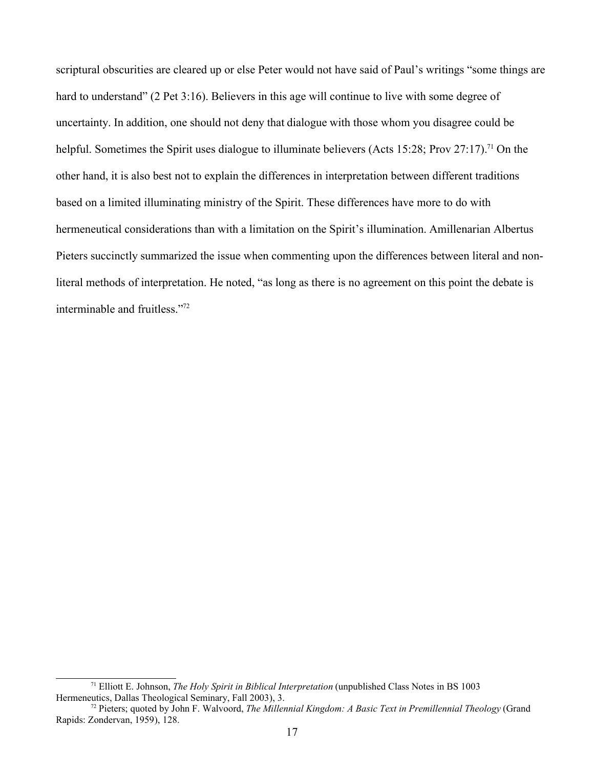scriptural obscurities are cleared up or else Peter would not have said of Paul's writings "some things are hard to understand" (2 Pet 3:16). Believers in this age will continue to live with some degree of uncertainty. In addition, one should not deny that dialogue with those whom you disagree could be helpful. Sometimes the Spirit uses dialogue to illuminate believers (Acts 15:28; Prov 27:17).<sup>71</sup> On the other hand, it is also best not to explain the differences in interpretation between different traditions based on a limited illuminating ministry of the Spirit. These differences have more to do with hermeneutical considerations than with a limitation on the Spirit's illumination. Amillenarian Albertus Pieters succinctly summarized the issue when commenting upon the differences between literal and nonliteral methods of interpretation. He noted, "as long as there is no agreement on this point the debate is interminable and fruitless."<sup>72</sup>

<sup>71</sup> Elliott E. Johnson, *The Holy Spirit in Biblical Interpretation* (unpublished Class Notes in BS 1003 Hermeneutics, Dallas Theological Seminary, Fall 2003), 3.

<sup>72</sup> Pieters; quoted by John F. Walvoord, *The Millennial Kingdom: A Basic Text in Premillennial Theology* (Grand Rapids: Zondervan, 1959), 128.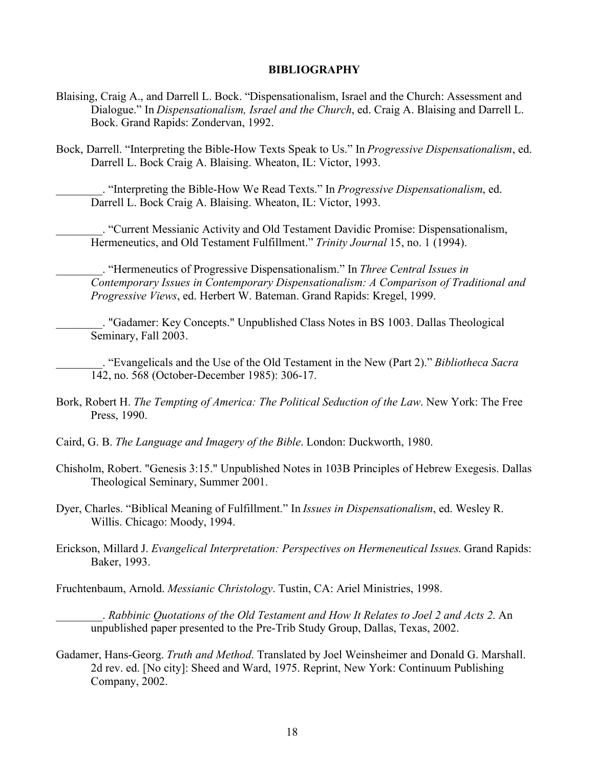## **BIBLIOGRAPHY**

- Blaising, Craig A., and Darrell L. Bock. "Dispensationalism, Israel and the Church: Assessment and Dialogue." In *Dispensationalism, Israel and the Church*, ed. Craig A. Blaising and Darrell L. Bock. Grand Rapids: Zondervan, 1992.
- Bock, Darrell. "Interpreting the Bible-How Texts Speak to Us." In *Progressive Dispensationalism*, ed. Darrell L. Bock Craig A. Blaising. Wheaton, IL: Victor, 1993.

\_\_\_\_\_\_\_\_. "Interpreting the Bible-How We Read Texts." In *Progressive Dispensationalism*, ed. Darrell L. Bock Craig A. Blaising. Wheaton, IL: Victor, 1993.

\_\_\_\_\_\_\_\_. "Current Messianic Activity and Old Testament Davidic Promise: Dispensationalism, Hermeneutics, and Old Testament Fulfillment." *Trinity Journal* 15, no. 1 (1994).

\_\_\_\_\_\_\_\_. "Hermeneutics of Progressive Dispensationalism." In *Three Central Issues in Contemporary Issues in Contemporary Dispensationalism: A Comparison of Traditional and Progressive Views*, ed. Herbert W. Bateman. Grand Rapids: Kregel, 1999.

\_\_\_\_\_\_\_\_. "Gadamer: Key Concepts." Unpublished Class Notes in BS 1003. Dallas Theological Seminary, Fall 2003.

\_\_\_\_\_\_\_\_. "Evangelicals and the Use of the Old Testament in the New (Part 2)." *Bibliotheca Sacra* 142, no. 568 (October-December 1985): 306-17.

- Bork, Robert H. *The Tempting of America: The Political Seduction of the Law*. New York: The Free Press, 1990.
- Caird, G. B. *The Language and Imagery of the Bible*. London: Duckworth, 1980.
- Chisholm, Robert. "Genesis 3:15." Unpublished Notes in 103B Principles of Hebrew Exegesis. Dallas Theological Seminary, Summer 2001.
- Dyer, Charles. "Biblical Meaning of Fulfillment." In *Issues in Dispensationalism*, ed. Wesley R. Willis. Chicago: Moody, 1994.
- Erickson, Millard J. *Evangelical Interpretation: Perspectives on Hermeneutical Issues*. Grand Rapids: Baker, 1993.
- Fruchtenbaum, Arnold. *Messianic Christology*. Tustin, CA: Ariel Ministries, 1998.

\_\_\_\_\_\_\_\_. *Rabbinic Quotations of the Old Testament and How It Relates to Joel 2 and Acts 2*. An unpublished paper presented to the Pre-Trib Study Group, Dallas, Texas, 2002.

Gadamer, Hans-Georg. *Truth and Method*. Translated by Joel Weinsheimer and Donald G. Marshall. 2d rev. ed. [No city]: Sheed and Ward, 1975. Reprint, New York: Continuum Publishing Company, 2002.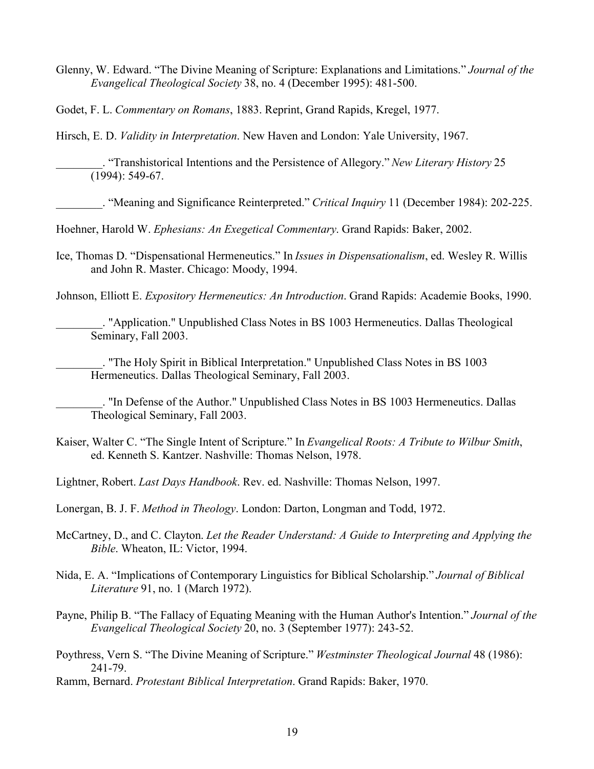Glenny, W. Edward. "The Divine Meaning of Scripture: Explanations and Limitations." *Journal of the Evangelical Theological Society* 38, no. 4 (December 1995): 481-500.

Godet, F. L. *Commentary on Romans*, 1883. Reprint, Grand Rapids, Kregel, 1977.

Hirsch, E. D. *Validity in Interpretation*. New Haven and London: Yale University, 1967.

\_\_\_\_\_\_\_\_. "Transhistorical Intentions and the Persistence of Allegory." *New Literary History* 25 (1994): 549-67.

\_\_\_\_\_\_\_\_. "Meaning and Significance Reinterpreted." *Critical Inquiry* 11 (December 1984): 202-225.

Hoehner, Harold W. *Ephesians: An Exegetical Commentary*. Grand Rapids: Baker, 2002.

Ice, Thomas D. "Dispensational Hermeneutics." In *Issues in Dispensationalism*, ed. Wesley R. Willis and John R. Master. Chicago: Moody, 1994.

Johnson, Elliott E. *Expository Hermeneutics: An Introduction*. Grand Rapids: Academie Books, 1990.

\_\_\_\_\_\_\_\_. "Application." Unpublished Class Notes in BS 1003 Hermeneutics. Dallas Theological Seminary, Fall 2003.

\_\_\_\_\_\_\_\_. "The Holy Spirit in Biblical Interpretation." Unpublished Class Notes in BS 1003 Hermeneutics. Dallas Theological Seminary, Fall 2003.

\_\_\_\_\_\_\_\_. "In Defense of the Author." Unpublished Class Notes in BS 1003 Hermeneutics. Dallas Theological Seminary, Fall 2003.

- Kaiser, Walter C. "The Single Intent of Scripture." In *Evangelical Roots: A Tribute to Wilbur Smith*, ed. Kenneth S. Kantzer. Nashville: Thomas Nelson, 1978.
- Lightner, Robert. *Last Days Handbook*. Rev. ed. Nashville: Thomas Nelson, 1997.

Lonergan, B. J. F. *Method in Theology*. London: Darton, Longman and Todd, 1972.

- McCartney, D., and C. Clayton. *Let the Reader Understand: A Guide to Interpreting and Applying the Bible*. Wheaton, IL: Victor, 1994.
- Nida, E. A. "Implications of Contemporary Linguistics for Biblical Scholarship." *Journal of Biblical Literature* 91, no. 1 (March 1972).
- Payne, Philip B. "The Fallacy of Equating Meaning with the Human Author's Intention." *Journal of the Evangelical Theological Society* 20, no. 3 (September 1977): 243-52.
- Poythress, Vern S. "The Divine Meaning of Scripture." *Westminster Theological Journal* 48 (1986): 241-79.

Ramm, Bernard. *Protestant Biblical Interpretation*. Grand Rapids: Baker, 1970.